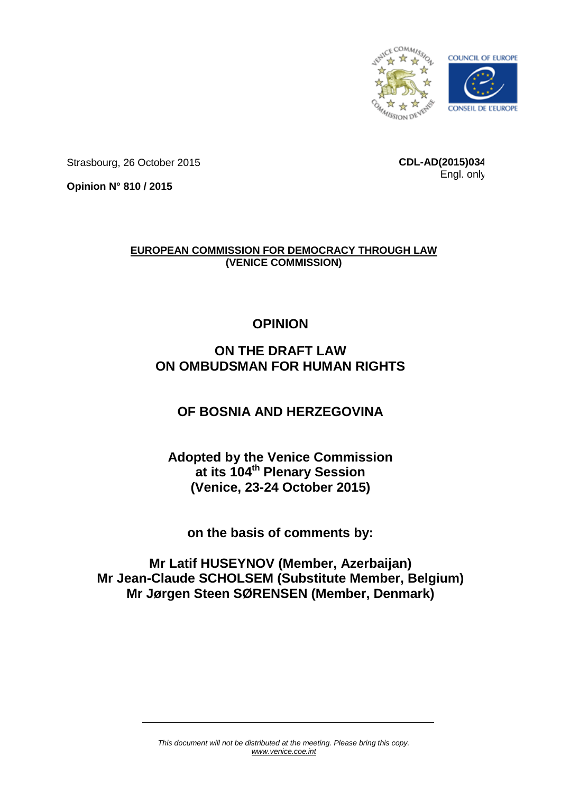

Strasbourg, 26 October 2015

**CDL-AD(2015)034** Engl. only

**Opinion N° 810 / 2015**

**EUROPEAN COMMISSION FOR DEMOCRACY THROUGH LAW (VENICE COMMISSION)**

# **OPINION**

# **ON THE DRAFT LAW ON OMBUDSMAN FOR HUMAN RIGHTS**

# **OF BOSNIA AND HERZEGOVINA**

# **Adopted by the Venice Commission at its 104th Plenary Session (Venice, 23-24 October 2015)**

**on the basis of comments by:**

**Mr Latif HUSEYNOV (Member, Azerbaijan) Mr Jean-Claude SCHOLSEM (Substitute Member, Belgium) Mr Jørgen Steen SØRENSEN (Member, Denmark)**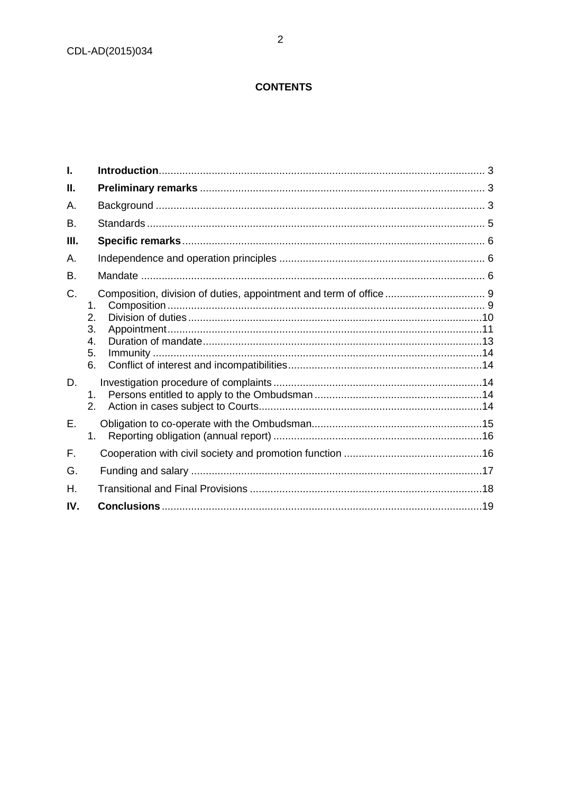# **CONTENTS**

| I.          |                                  |  |
|-------------|----------------------------------|--|
| Ш.          |                                  |  |
| А.          |                                  |  |
| <b>B.</b>   |                                  |  |
| Ш.          |                                  |  |
| А.          |                                  |  |
| <b>B.</b>   |                                  |  |
| $C_{\cdot}$ | 1.<br>2.<br>3.<br>4.<br>5.<br>6. |  |
| D.          | $1_{-}$<br>2.                    |  |
| Ε.          | $1_{-}$                          |  |
| F.          |                                  |  |
| G.          |                                  |  |
| Η.          |                                  |  |
| IV.         |                                  |  |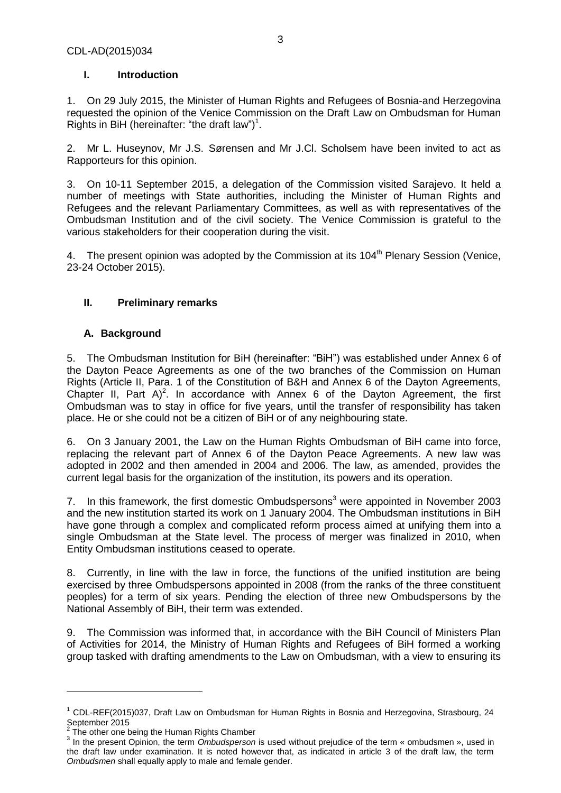### **I. Introduction**

1. On 29 July 2015, the Minister of Human Rights and Refugees of Bosnia-and Herzegovina requested the opinion of the Venice Commission on the Draft Law on Ombudsman for Human Rights in BiH (hereinafter: "the draft law")<sup>1</sup>.

2. Mr L. Huseynov, Mr J.S. Sørensen and Mr J.Cl. Scholsem have been invited to act as Rapporteurs for this opinion.

3. On 10-11 September 2015, a delegation of the Commission visited Sarajevo. It held a number of meetings with State authorities, including the Minister of Human Rights and Refugees and the relevant Parliamentary Committees, as well as with representatives of the Ombudsman Institution and of the civil society. The Venice Commission is grateful to the various stakeholders for their cooperation during the visit.

4. The present opinion was adopted by the Commission at its 104<sup>th</sup> Plenary Session (Venice, 23-24 October 2015).

# **II. Preliminary remarks**

# **A. Background**

5. The Ombudsman Institution for BiH (hereinafter: "BiH") was established under Annex 6 of the Dayton Peace Agreements as one of the two branches of the Commission on Human Rights (Article II, Para. 1 of the Constitution of B&H and Annex 6 of the Dayton Agreements, Chapter II, Part A)<sup>2</sup>. In accordance with Annex 6 of the Dayton Agreement, the first Ombudsman was to stay in office for five years, until the transfer of responsibility has taken place. He or she could not be a citizen of BiH or of any neighbouring state.

6. On 3 January 2001, the Law on the Human Rights Ombudsman of BiH came into force, replacing the relevant part of Annex 6 of the Dayton Peace Agreements. A new law was adopted in 2002 and then amended in 2004 and 2006. The law, as amended, provides the current legal basis for the organization of the institution, its powers and its operation.

7. In this framework, the first domestic Ombudspersons<sup>3</sup> were appointed in November 2003 and the new institution started its work on 1 January 2004. The Ombudsman institutions in BiH have gone through a complex and complicated reform process aimed at unifying them into a single Ombudsman at the State level. The process of merger was finalized in 2010, when Entity Ombudsman institutions ceased to operate.

8. Currently, in line with the law in force, the functions of the unified institution are being exercised by three Ombudspersons appointed in 2008 (from the ranks of the three constituent peoples) for a term of six years. Pending the election of three new Ombudspersons by the National Assembly of BiH, their term was extended.

9. The Commission was informed that, in accordance with the BiH Council of Ministers Plan of Activities for 2014, the Ministry of Human Rights and Refugees of BiH formed a working group tasked with drafting amendments to the Law on Ombudsman, with a view to ensuring its

 $\overline{a}$ 

 $1$  CDL-REF(2015)037, Draft Law on Ombudsman for Human Rights in Bosnia and Herzegovina, Strasbourg, 24 September 2015

<sup>2</sup> The other one being the Human Rights Chamber

<sup>3</sup> In the present Opinion, the term *Ombudsperson* is used without prejudice of the term « ombudsmen », used in the draft law under examination. It is noted however that, as indicated in article 3 of the draft law, the term *Ombudsmen* shall equally apply to male and female gender.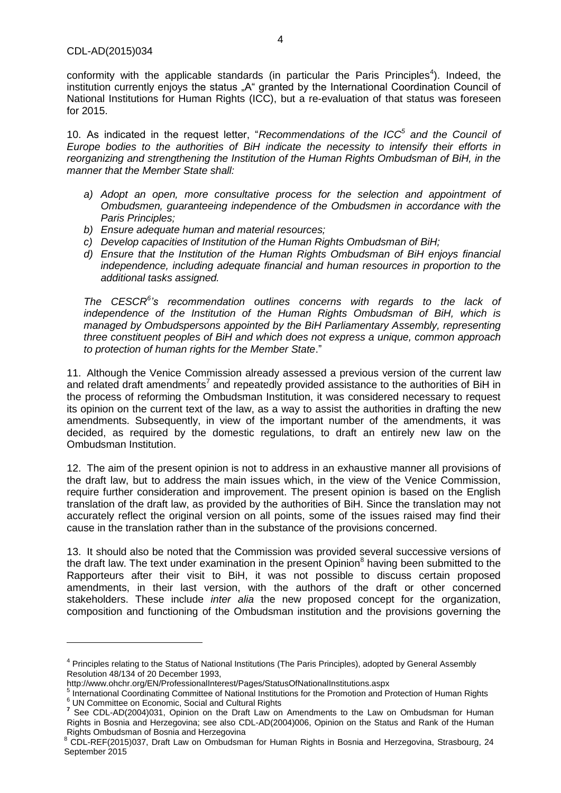$\overline{a}$ 

conformity with the applicable standards (in particular the Paris Principles<sup>4</sup>). Indeed, the institution currently enjoys the status "A" granted by the International Coordination Council of National Institutions for Human Rights (ICC), but a re-evaluation of that status was foreseen for 2015.

10. As indicated in the request letter, "*Recommendations of the ICC<sup>5</sup> and the Council of Europe bodies to the authorities of BiH indicate the necessity to intensify their efforts in reorganizing and strengthening the Institution of the Human Rights Ombudsman of BiH, in the manner that the Member State shall:*

- *a) Adopt an open, more consultative process for the selection and appointment of Ombudsmen, guaranteeing independence of the Ombudsmen in accordance with the Paris Principles;*
- *b) Ensure adequate human and material resources;*
- *c) Develop capacities of Institution of the Human Rights Ombudsman of BiH;*
- *d) Ensure that the Institution of the Human Rights Ombudsman of BiH enjoys financial independence, including adequate financial and human resources in proportion to the additional tasks assigned.*

*The CESCR<sup>6</sup> 's recommendation outlines concerns with regards to the lack of independence of the Institution of the Human Rights Ombudsman of BiH, which is managed by Ombudspersons appointed by the BiH Parliamentary Assembly, representing three constituent peoples of BiH and which does not express a unique, common approach to protection of human rights for the Member State*."

11. Although the Venice Commission already assessed a previous version of the current law and related draft amendments<sup>7</sup> and repeatedly provided assistance to the authorities of BiH in the process of reforming the Ombudsman Institution, it was considered necessary to request its opinion on the current text of the law, as a way to assist the authorities in drafting the new amendments. Subsequently, in view of the important number of the amendments, it was decided, as required by the domestic regulations, to draft an entirely new law on the Ombudsman Institution.

12. The aim of the present opinion is not to address in an exhaustive manner all provisions of the draft law, but to address the main issues which, in the view of the Venice Commission, require further consideration and improvement. The present opinion is based on the English translation of the draft law, as provided by the authorities of BiH. Since the translation may not accurately reflect the original version on all points, some of the issues raised may find their cause in the translation rather than in the substance of the provisions concerned.

13. It should also be noted that the Commission was provided several successive versions of the draft law. The text under examination in the present Opinion<sup>8</sup> having been submitted to the Rapporteurs after their visit to BiH, it was not possible to discuss certain proposed amendments, in their last version, with the authors of the draft or other concerned stakeholders. These include *inter alia* the new proposed concept for the organization, composition and functioning of the Ombudsman institution and the provisions governing the

<sup>&</sup>lt;sup>4</sup> Principles relating to the Status of National Institutions (The Paris Principles), adopted by General Assembly Resolution 48/134 of 20 December 1993,

http://www.ohchr.org/EN/ProfessionalInterest/Pages/StatusOfNationalInstitutions.aspx 5

International Coordinating Committee of National Institutions for the Promotion and Protection of Human Rights <sup>6</sup> UN Committee on Economic, Social and Cultural Rights

**<sup>7</sup>** See CDL-AD(2004)031, Opinion on the Draft Law on Amendments to the Law on Ombudsman for Human Rights in Bosnia and Herzegovina; see also CDL-AD(2004)006, Opinion on the Status and Rank of the Human Rights Ombudsman of Bosnia and Herzegovina

<sup>8</sup> CDL-REF(2015)037, Draft Law on Ombudsman for Human Rights in Bosnia and Herzegovina, Strasbourg, 24 September 2015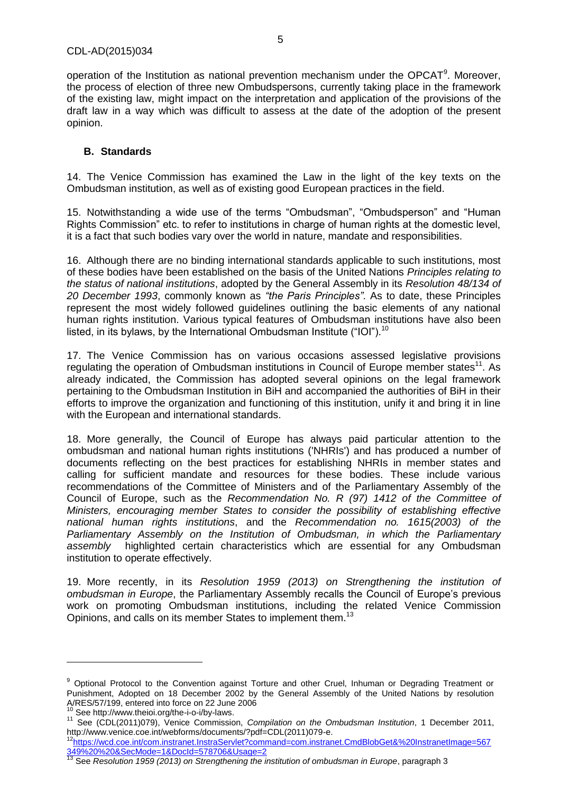operation of the Institution as national prevention mechanism under the OPCAT $9$ . Moreover, the process of election of three new Ombudspersons, currently taking place in the framework of the existing law, might impact on the interpretation and application of the provisions of the draft law in a way which was difficult to assess at the date of the adoption of the present opinion.

#### **B. Standards**

14. The Venice Commission has examined the Law in the light of the key texts on the Ombudsman institution, as well as of existing good European practices in the field.

15. Notwithstanding a wide use of the terms "Ombudsman", "Ombudsperson" and "Human Rights Commission" etc. to refer to institutions in charge of human rights at the domestic level, it is a fact that such bodies vary over the world in nature, mandate and responsibilities.

16. Although there are no binding international standards applicable to such institutions, most of these bodies have been established on the basis of the United Nations *Principles relating to the status of national institutions*, adopted by the General Assembly in its *Resolution 48/134 of 20 December 1993*, commonly known as *"the Paris Principles"*. As to date, these Principles represent the most widely followed guidelines outlining the basic elements of any national human rights institution. Various typical features of Ombudsman institutions have also been listed, in its bylaws, by the International Ombudsman Institute ("IOI").  $^{10}$ 

17. The Venice Commission has on various occasions assessed legislative provisions regulating the operation of Ombudsman institutions in Council of Europe member states<sup>11</sup>. As already indicated, the Commission has adopted several opinions on the legal framework pertaining to the Ombudsman Institution in BiH and accompanied the authorities of BiH in their efforts to improve the organization and functioning of this institution, unify it and bring it in line with the European and international standards.

18. More generally, the Council of Europe has always paid particular attention to the ombudsman and national human rights institutions ('NHRIs') and has produced a number of documents reflecting on the best practices for establishing NHRIs in member states and calling for sufficient mandate and resources for these bodies. These include various recommendations of the Committee of Ministers and of the Parliamentary Assembly of the Council of Europe, such as the *Recommendation No. R (97) 1412 of the Committee of Ministers, encouraging member States to consider the possibility of establishing effective national human rights institutions*, and the *Recommendation no. 1615(2003) of the Parliamentary Assembly on the Institution of Ombudsman, in which the Parliamentary assembly* highlighted certain characteristics which are essential for any Ombudsman institution to operate effectively.

19. More recently, in its *Resolution 1959 (2013) on Strengthening the institution of ombudsman in Europe*, the Parliamentary Assembly recalls the Council of Europe's previous work on promoting Ombudsman institutions, including the related Venice Commission Opinions, and calls on its member States to implement them.<sup>13</sup>

<sup>&</sup>lt;sup>9</sup> Optional Protocol to the Convention against Torture and other Cruel, Inhuman or Degrading Treatment or Punishment, Adopted on 18 December 2002 by the General Assembly of the United Nations by resolution A/RES/57/199, entered into force on 22 June 2006

Se[e http://www.theioi.org/the-i-o-i/by-laws.](http://www.theioi.org/the-i-o-i/by-laws)

<sup>11</sup> See (CDL(2011)079), Venice Commission, *Compilation on the Ombudsman Institution*, 1 December 2011, [http://www.venice.coe.int/webforms/documents/?pdf=CDL\(2011\)079-e.](http://www.venice.coe.int/webforms/documents/?pdf=CDL(2011)079-e))

<sup>12</sup>[https://wcd.coe.int/com.instranet.InstraServlet?command=com.instranet.CmdBlobGet&%20InstranetImage=567](https://wcd.coe.int/com.instranet.InstraServlet?command=com.instranet.CmdBlobGet&%20InstranetImage=567349%20%20&SecMode=1&DocId=578706&Usage=2) [349%20%20&SecMode=1&DocId=578706&Usage=2](https://wcd.coe.int/com.instranet.InstraServlet?command=com.instranet.CmdBlobGet&%20InstranetImage=567349%20%20&SecMode=1&DocId=578706&Usage=2)

<sup>13</sup> See *Resolution 1959 (2013) on Strengthening the institution of ombudsman in Europe*, paragraph 3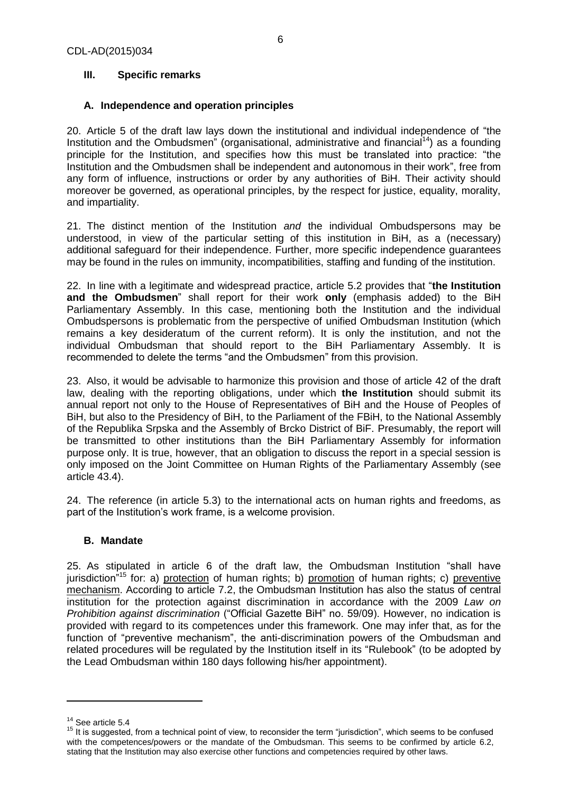# **III. Specific remarks**

# **A. Independence and operation principles**

20. Article 5 of the draft law lays down the institutional and individual independence of "the Institution and the Ombudsmen" (organisational, administrative and financial<sup>14</sup>) as a founding principle for the Institution, and specifies how this must be translated into practice: "the Institution and the Ombudsmen shall be independent and autonomous in their work", free from any form of influence, instructions or order by any authorities of BiH. Their activity should moreover be governed, as operational principles, by the respect for justice, equality, morality, and impartiality.

21. The distinct mention of the Institution *and* the individual Ombudspersons may be understood, in view of the particular setting of this institution in BiH, as a (necessary) additional safeguard for their independence. Further, more specific independence guarantees may be found in the rules on immunity, incompatibilities, staffing and funding of the institution.

22. In line with a legitimate and widespread practice, article 5.2 provides that "**the Institution and the Ombudsmen**" shall report for their work **only** (emphasis added) to the BiH Parliamentary Assembly. In this case, mentioning both the Institution and the individual Ombudspersons is problematic from the perspective of unified Ombudsman Institution (which remains a key desideratum of the current reform). It is only the institution, and not the individual Ombudsman that should report to the BiH Parliamentary Assembly. It is recommended to delete the terms "and the Ombudsmen" from this provision.

23. Also, it would be advisable to harmonize this provision and those of article 42 of the draft law, dealing with the reporting obligations, under which **the Institution** should submit its annual report not only to the House of Representatives of BiH and the House of Peoples of BiH, but also to the Presidency of BiH, to the Parliament of the FBiH, to the National Assembly of the Republika Srpska and the Assembly of Brcko District of BiF. Presumably, the report will be transmitted to other institutions than the BiH Parliamentary Assembly for information purpose only. It is true, however, that an obligation to discuss the report in a special session is only imposed on the Joint Committee on Human Rights of the Parliamentary Assembly (see article 43.4).

24. The reference (in article 5.3) to the international acts on human rights and freedoms, as part of the Institution's work frame, is a welcome provision.

#### **B. Mandate**

25. As stipulated in article 6 of the draft law, the Ombudsman Institution "shall have jurisdiction<sup>315</sup> for: a) protection of human rights; b) promotion of human rights; c) preventive mechanism. According to article 7.2, the Ombudsman Institution has also the status of central institution for the protection against discrimination in accordance with the 2009 *Law on Prohibition against discrimination* ("Official Gazette BiH" no. 59/09). However, no indication is provided with regard to its competences under this framework. One may infer that, as for the function of "preventive mechanism", the anti-discrimination powers of the Ombudsman and related procedures will be regulated by the Institution itself in its "Rulebook" (to be adopted by the Lead Ombudsman within 180 days following his/her appointment).

<sup>&</sup>lt;sup>14</sup> See article 5.4

<sup>&</sup>lt;sup>15</sup> It is suggested, from a technical point of view, to reconsider the term "jurisdiction", which seems to be confused with the competences/powers or the mandate of the Ombudsman. This seems to be confirmed by article 6.2, stating that the Institution may also exercise other functions and competencies required by other laws.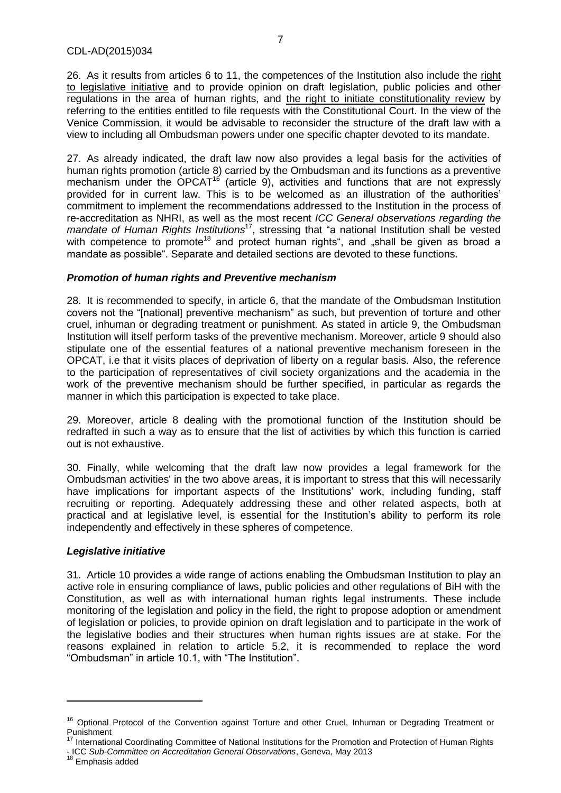26. As it results from articles 6 to 11, the competences of the Institution also include the right to legislative initiative and to provide opinion on draft legislation, public policies and other regulations in the area of human rights, and the right to initiate constitutionality review by referring to the entities entitled to file requests with the Constitutional Court. In the view of the Venice Commission, it would be advisable to reconsider the structure of the draft law with a view to including all Ombudsman powers under one specific chapter devoted to its mandate.

27. As already indicated, the draft law now also provides a legal basis for the activities of human rights promotion (article 8) carried by the Ombudsman and its functions as a preventive mechanism under the  $\overline{OPCAT}^{16}$  (article 9), activities and functions that are not expressly provided for in current law. This is to be welcomed as an illustration of the authorities' commitment to implement the recommendations addressed to the Institution in the process of re-accreditation as NHRI, as well as the most recent *ICC General observations regarding the*  mandate of Human Rights Institutions<sup>17</sup>, stressing that "a national Institution shall be vested with competence to promote<sup>18</sup> and protect human rights", and "shall be given as broad a mandate as possible". Separate and detailed sections are devoted to these functions.

#### *Promotion of human rights and Preventive mechanism*

28. It is recommended to specify, in article 6, that the mandate of the Ombudsman Institution covers not the "[national] preventive mechanism" as such, but prevention of torture and other cruel, inhuman or degrading treatment or punishment. As stated in article 9, the Ombudsman Institution will itself perform tasks of the preventive mechanism. Moreover, article 9 should also stipulate one of the essential features of a national preventive mechanism foreseen in the OPCAT, i.e that it visits places of deprivation of liberty on a regular basis. Also, the reference to the participation of representatives of civil society organizations and the academia in the work of the preventive mechanism should be further specified, in particular as regards the manner in which this participation is expected to take place.

29. Moreover, article 8 dealing with the promotional function of the Institution should be redrafted in such a way as to ensure that the list of activities by which this function is carried out is not exhaustive.

30. Finally, while welcoming that the draft law now provides a legal framework for the Ombudsman activities' in the two above areas, it is important to stress that this will necessarily have implications for important aspects of the Institutions' work, including funding, staff recruiting or reporting. Adequately addressing these and other related aspects, both at practical and at legislative level, is essential for the Institution's ability to perform its role independently and effectively in these spheres of competence.

#### *Legislative initiative*

31. Article 10 provides a wide range of actions enabling the Ombudsman Institution to play an active role in ensuring compliance of laws, public policies and other regulations of BiH with the Constitution, as well as with international human rights legal instruments. These include monitoring of the legislation and policy in the field, the right to propose adoption or amendment of legislation or policies, to provide opinion on draft legislation and to participate in the work of the legislative bodies and their structures when human rights issues are at stake. For the reasons explained in relation to article 5.2, it is recommended to replace the word "Ombudsman" in article 10.1, with "The Institution".

<sup>&</sup>lt;sup>16</sup> Optional Protocol of the Convention against Torture and other Cruel, Inhuman or Degrading Treatment or Punishment

International Coordinating Committee of National Institutions for the Promotion and Protection of Human Rights - ICC *Sub-Committee on Accreditation General Observations*, Geneva, May 2013

<sup>&</sup>lt;sup>18</sup> Emphasis added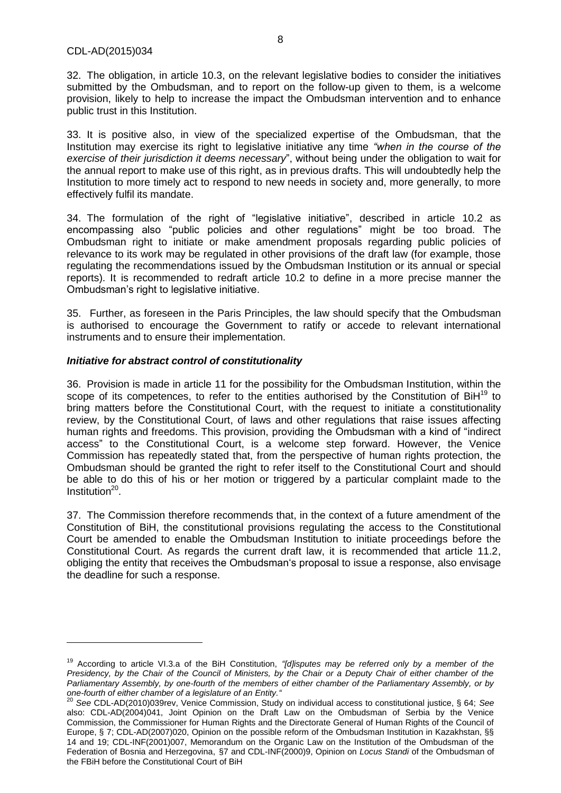$\overline{a}$ 

32. The obligation, in article 10.3, on the relevant legislative bodies to consider the initiatives submitted by the Ombudsman, and to report on the follow-up given to them, is a welcome provision, likely to help to increase the impact the Ombudsman intervention and to enhance public trust in this Institution.

33. It is positive also, in view of the specialized expertise of the Ombudsman, that the Institution may exercise its right to legislative initiative any time *"when in the course of the exercise of their jurisdiction it deems necessary*", without being under the obligation to wait for the annual report to make use of this right, as in previous drafts. This will undoubtedly help the Institution to more timely act to respond to new needs in society and, more generally, to more effectively fulfil its mandate.

34. The formulation of the right of "legislative initiative", described in article 10.2 as encompassing also "public policies and other regulations" might be too broad. The Ombudsman right to initiate or make amendment proposals regarding public policies of relevance to its work may be regulated in other provisions of the draft law (for example, those regulating the recommendations issued by the Ombudsman Institution or its annual or special reports). It is recommended to redraft article 10.2 to define in a more precise manner the Ombudsman's right to legislative initiative.

35. Further, as foreseen in the Paris Principles, the law should specify that the Ombudsman is authorised to encourage the Government to ratify or accede to relevant international instruments and to ensure their implementation.

#### *Initiative for abstract control of constitutionality*

36. Provision is made in article 11 for the possibility for the Ombudsman Institution, within the scope of its competences, to refer to the entities authorised by the Constitution of  $\text{BiH}^{19}$  to bring matters before the Constitutional Court, with the request to initiate a constitutionality review, by the Constitutional Court, of laws and other regulations that raise issues affecting human rights and freedoms. This provision, providing the Ombudsman with a kind of "indirect access" to the Constitutional Court, is a welcome step forward. However, the Venice Commission has repeatedly stated that, from the perspective of human rights protection, the Ombudsman should be granted the right to refer itself to the Constitutional Court and should be able to do this of his or her motion or triggered by a particular complaint made to the Institution<sup>20</sup>.

37. The Commission therefore recommends that, in the context of a future amendment of the Constitution of BiH, the constitutional provisions regulating the access to the Constitutional Court be amended to enable the Ombudsman Institution to initiate proceedings before the Constitutional Court. As regards the current draft law, it is recommended that article 11.2, obliging the entity that receives the Ombudsman's proposal to issue a response, also envisage the deadline for such a response.

<sup>19</sup> According to article VI.3.a of the BiH Constitution, *"[d]isputes may be referred only by a member of the Presidency, by the Chair of the Council of Ministers, by the Chair or a Deputy Chair of either chamber of the Parliamentary Assembly, by one-fourth of the members of either chamber of the Parliamentary Assembly, or by one-fourth of either chamber of a legislature of an Entity."*

<sup>20</sup> *See* CDL-AD(2010)039rev, Venice Commission, Study on individual access to constitutional justice, § 64; *See* also: CDL-AD(2004)041, Joint Opinion on the Draft Law on the Ombudsman of Serbia by the Venice Commission, the Commissioner for Human Rights and the Directorate General of Human Rights of the Council of Europe, § 7; CDL-AD(2007)020, Opinion on the possible reform of the Ombudsman Institution in Kazakhstan, §§ 14 and 19; CDL-INF(2001)007, Memorandum on the Organic Law on the Institution of the Ombudsman of the Federation of Bosnia and Herzegovina, §7 and CDL-INF(2000)9, Opinion on *Locus Standi* of the Ombudsman of the FBiH before the Constitutional Court of BiH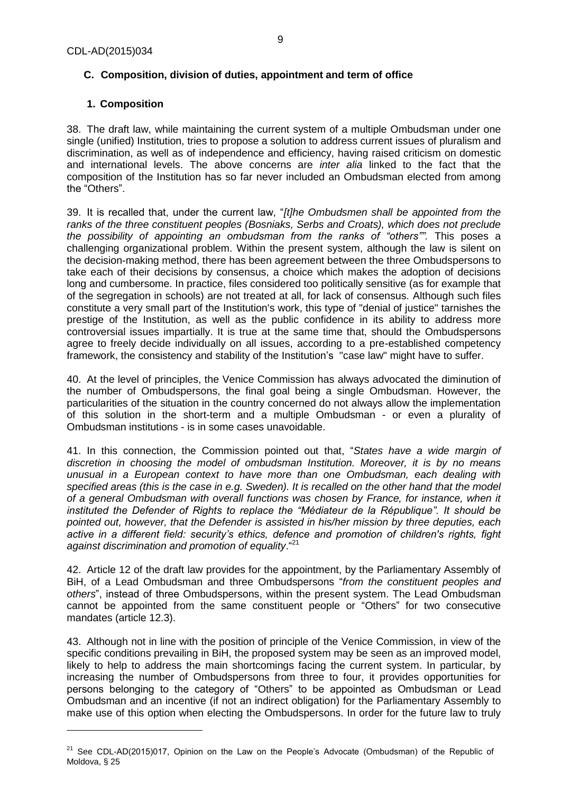# **C. Composition, division of duties, appointment and term of office**

# **1. Composition**

38. The draft law, while maintaining the current system of a multiple Ombudsman under one single (unified) Institution, tries to propose a solution to address current issues of pluralism and discrimination, as well as of independence and efficiency, having raised criticism on domestic and international levels. The above concerns are *inter alia* linked to the fact that the composition of the Institution has so far never included an Ombudsman elected from among the "Others".

39. It is recalled that, under the current law, "*[t]he Ombudsmen shall be appointed from the ranks of the three constituent peoples (Bosniaks, Serbs and Croats), which does not preclude the possibility of appointing an ombudsman from the ranks of "others"".* This poses a challenging organizational problem. Within the present system, although the law is silent on the decision-making method, there has been agreement between the three Ombudspersons to take each of their decisions by consensus, a choice which makes the adoption of decisions long and cumbersome. In practice, files considered too politically sensitive (as for example that of the segregation in schools) are not treated at all, for lack of consensus. Although such files constitute a very small part of the Institution's work, this type of "denial of justice" tarnishes the prestige of the Institution, as well as the public confidence in its ability to address more controversial issues impartially. It is true at the same time that, should the Ombudspersons agree to freely decide individually on all issues, according to a pre-established competency framework, the consistency and stability of the Institution's "case law" might have to suffer.

40. At the level of principles, the Venice Commission has always advocated the diminution of the number of Ombudspersons, the final goal being a single Ombudsman. However, the particularities of the situation in the country concerned do not always allow the implementation of this solution in the short-term and a multiple Ombudsman - or even a plurality of Ombudsman institutions - is in some cases unavoidable.

41. In this connection, the Commission pointed out that, "*States have a wide margin of discretion in choosing the model of ombudsman Institution. Moreover, it is by no means unusual in a European context to have more than one Ombudsman, each dealing with*  specified areas (this is the case in e.g. Sweden). It is recalled on the other hand that the model *of a general Ombudsman with overall functions was chosen by France, for instance, when it instituted the Defender of Rights to replace the "Médiateur de la République". It should be pointed out, however, that the Defender is assisted in his/her mission by three deputies, each active in a different field: security's ethics, defence and promotion of children's rights, fight against discrimination and promotion of equality*."<sup>21</sup>

42. Article 12 of the draft law provides for the appointment, by the Parliamentary Assembly of BiH, of a Lead Ombudsman and three Ombudspersons "*from the constituent peoples and others*", instead of three Ombudspersons, within the present system. The Lead Ombudsman cannot be appointed from the same constituent people or "Others" for two consecutive mandates (article 12.3).

43. Although not in line with the position of principle of the Venice Commission, in view of the specific conditions prevailing in BiH, the proposed system may be seen as an improved model, likely to help to address the main shortcomings facing the current system. In particular, by increasing the number of Ombudspersons from three to four, it provides opportunities for persons belonging to the category of "Others" to be appointed as Ombudsman or Lead Ombudsman and an incentive (if not an indirect obligation) for the Parliamentary Assembly to make use of this option when electing the Ombudspersons. In order for the future law to truly

 $21$  See CDL-AD(2015)017, Opinion on the Law on the People's Advocate (Ombudsman) of the Republic of Moldova, § 25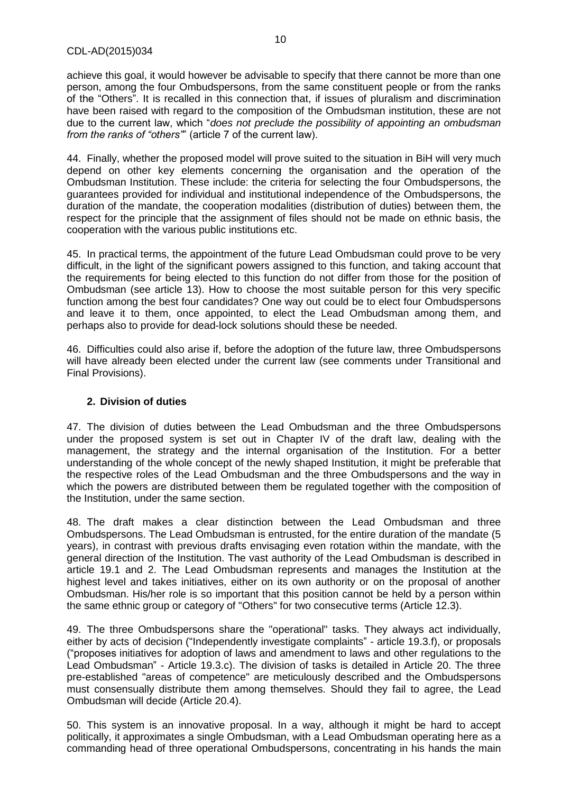achieve this goal, it would however be advisable to specify that there cannot be more than one person, among the four Ombudspersons, from the same constituent people or from the ranks of the "Others". It is recalled in this connection that, if issues of pluralism and discrimination have been raised with regard to the composition of the Ombudsman institution, these are not due to the current law, which "*does not preclude the possibility of appointing an ombudsman from the ranks of "others"*" (article 7 of the current law).

44. Finally, whether the proposed model will prove suited to the situation in BiH will very much depend on other key elements concerning the organisation and the operation of the Ombudsman Institution. These include: the criteria for selecting the four Ombudspersons, the guarantees provided for individual and institutional independence of the Ombudspersons, the duration of the mandate, the cooperation modalities (distribution of duties) between them, the respect for the principle that the assignment of files should not be made on ethnic basis, the cooperation with the various public institutions etc.

45. In practical terms, the appointment of the future Lead Ombudsman could prove to be very difficult, in the light of the significant powers assigned to this function, and taking account that the requirements for being elected to this function do not differ from those for the position of Ombudsman (see article 13). How to choose the most suitable person for this very specific function among the best four candidates? One way out could be to elect four Ombudspersons and leave it to them, once appointed, to elect the Lead Ombudsman among them, and perhaps also to provide for dead-lock solutions should these be needed.

46. Difficulties could also arise if, before the adoption of the future law, three Ombudspersons will have already been elected under the current law (see comments under Transitional and Final Provisions).

#### **2. Division of duties**

47. The division of duties between the Lead Ombudsman and the three Ombudspersons under the proposed system is set out in Chapter IV of the draft law, dealing with the management, the strategy and the internal organisation of the Institution. For a better understanding of the whole concept of the newly shaped Institution, it might be preferable that the respective roles of the Lead Ombudsman and the three Ombudspersons and the way in which the powers are distributed between them be regulated together with the composition of the Institution, under the same section.

48. The draft makes a clear distinction between the Lead Ombudsman and three Ombudspersons. The Lead Ombudsman is entrusted, for the entire duration of the mandate (5 years), in contrast with previous drafts envisaging even rotation within the mandate, with the general direction of the Institution. The vast authority of the Lead Ombudsman is described in article 19.1 and 2. The Lead Ombudsman represents and manages the Institution at the highest level and takes initiatives, either on its own authority or on the proposal of another Ombudsman. His/her role is so important that this position cannot be held by a person within the same ethnic group or category of "Others" for two consecutive terms (Article 12.3).

49. The three Ombudspersons share the "operational" tasks. They always act individually, either by acts of decision ("Independently investigate complaints" - article 19.3.f), or proposals ("proposes initiatives for adoption of laws and amendment to laws and other regulations to the Lead Ombudsman" - Article 19.3.c). The division of tasks is detailed in Article 20. The three pre-established "areas of competence" are meticulously described and the Ombudspersons must consensually distribute them among themselves. Should they fail to agree, the Lead Ombudsman will decide (Article 20.4).

50. This system is an innovative proposal. In a way, although it might be hard to accept politically, it approximates a single Ombudsman, with a Lead Ombudsman operating here as a commanding head of three operational Ombudspersons, concentrating in his hands the main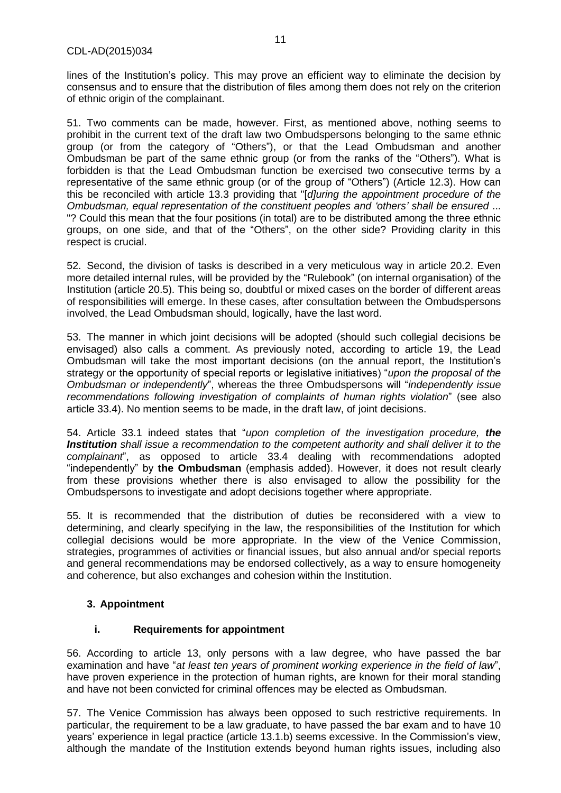lines of the Institution's policy. This may prove an efficient way to eliminate the decision by consensus and to ensure that the distribution of files among them does not rely on the criterion of ethnic origin of the complainant.

51. Two comments can be made, however. First, as mentioned above, nothing seems to prohibit in the current text of the draft law two Ombudspersons belonging to the same ethnic group (or from the category of "Others"), or that the Lead Ombudsman and another Ombudsman be part of the same ethnic group (or from the ranks of the "Others"). What is forbidden is that the Lead Ombudsman function be exercised two consecutive terms by a representative of the same ethnic group (or of the group of "Others") (Article 12.3). How can this be reconciled with article 13.3 providing that "[*d]uring the appointment procedure of the Ombudsman, equal representation of the constituent peoples and 'others' shall be ensured* ... "? Could this mean that the four positions (in total) are to be distributed among the three ethnic groups, on one side, and that of the "Others", on the other side? Providing clarity in this respect is crucial.

52. Second, the division of tasks is described in a very meticulous way in article 20.2. Even more detailed internal rules, will be provided by the "Rulebook" (on internal organisation) of the Institution (article 20.5). This being so, doubtful or mixed cases on the border of different areas of responsibilities will emerge. In these cases, after consultation between the Ombudspersons involved, the Lead Ombudsman should, logically, have the last word.

53. The manner in which joint decisions will be adopted (should such collegial decisions be envisaged) also calls a comment. As previously noted, according to article 19, the Lead Ombudsman will take the most important decisions (on the annual report, the Institution's strategy or the opportunity of special reports or legislative initiatives) "*upon the proposal of the Ombudsman or independently*", whereas the three Ombudspersons will "*independently issue recommendations following investigation of complaints of human rights violation*" (see also article 33.4). No mention seems to be made, in the draft law, of joint decisions.

54. Article 33.1 indeed states that "*upon completion of the investigation procedure, the Institution shall issue a recommendation to the competent authority and shall deliver it to the complainant*", as opposed to article 33.4 dealing with recommendations adopted "independently" by **the Ombudsman** (emphasis added). However, it does not result clearly from these provisions whether there is also envisaged to allow the possibility for the Ombudspersons to investigate and adopt decisions together where appropriate.

55. It is recommended that the distribution of duties be reconsidered with a view to determining, and clearly specifying in the law, the responsibilities of the Institution for which collegial decisions would be more appropriate. In the view of the Venice Commission, strategies, programmes of activities or financial issues, but also annual and/or special reports and general recommendations may be endorsed collectively, as a way to ensure homogeneity and coherence, but also exchanges and cohesion within the Institution.

#### **3. Appointment**

#### **i. Requirements for appointment**

56. According to article 13, only persons with a law degree, who have passed the bar examination and have "*at least ten years of prominent working experience in the field of law*", have proven experience in the protection of human rights, are known for their moral standing and have not been convicted for criminal offences may be elected as Ombudsman.

57. The Venice Commission has always been opposed to such restrictive requirements. In particular, the requirement to be a law graduate, to have passed the bar exam and to have 10 years' experience in legal practice (article 13.1.b) seems excessive. In the Commission's view, although the mandate of the Institution extends beyond human rights issues, including also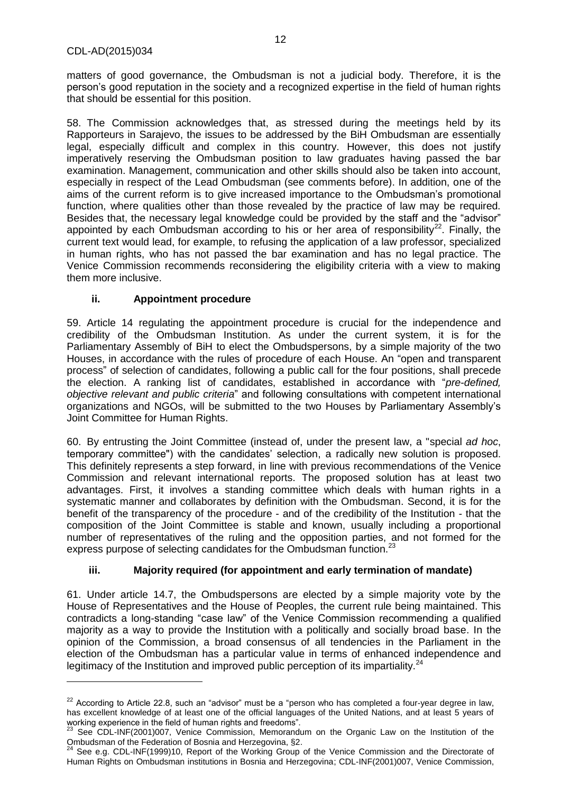matters of good governance, the Ombudsman is not a judicial body. Therefore, it is the person's good reputation in the society and a recognized expertise in the field of human rights that should be essential for this position.

58. The Commission acknowledges that, as stressed during the meetings held by its Rapporteurs in Sarajevo, the issues to be addressed by the BiH Ombudsman are essentially legal, especially difficult and complex in this country. However, this does not justify imperatively reserving the Ombudsman position to law graduates having passed the bar examination. Management, communication and other skills should also be taken into account, especially in respect of the Lead Ombudsman (see comments before). In addition, one of the aims of the current reform is to give increased importance to the Ombudsman's promotional function, where qualities other than those revealed by the practice of law may be required. Besides that, the necessary legal knowledge could be provided by the staff and the "advisor" appointed by each Ombudsman according to his or her area of responsibility<sup>22</sup>. Finally, the current text would lead, for example, to refusing the application of a law professor, specialized in human rights, who has not passed the bar examination and has no legal practice. The Venice Commission recommends reconsidering the eligibility criteria with a view to making them more inclusive.

#### **ii. Appointment procedure**

59. Article 14 regulating the appointment procedure is crucial for the independence and credibility of the Ombudsman Institution. As under the current system, it is for the Parliamentary Assembly of BiH to elect the Ombudspersons, by a simple majority of the two Houses, in accordance with the rules of procedure of each House. An "open and transparent process" of selection of candidates, following a public call for the four positions, shall precede the election. A ranking list of candidates, established in accordance with "*pre-defined, objective relevant and public criteria*" and following consultations with competent international organizations and NGOs, will be submitted to the two Houses by Parliamentary Assembly's Joint Committee for Human Rights.

60. By entrusting the Joint Committee (instead of, under the present law, a "special *ad hoc*, temporary committee") with the candidates' selection, a radically new solution is proposed. This definitely represents a step forward, in line with previous recommendations of the Venice Commission and relevant international reports. The proposed solution has at least two advantages. First, it involves a standing committee which deals with human rights in a systematic manner and collaborates by definition with the Ombudsman. Second, it is for the benefit of the transparency of the procedure - and of the credibility of the Institution - that the composition of the Joint Committee is stable and known, usually including a proportional number of representatives of the ruling and the opposition parties, and not formed for the express purpose of selecting candidates for the Ombudsman function.<sup>23</sup>

#### **iii. Majority required (for appointment and early termination of mandate)**

61. Under article 14.7, the Ombudspersons are elected by a simple majority vote by the House of Representatives and the House of Peoples, the current rule being maintained. This contradicts a long-standing "case law" of the Venice Commission recommending a qualified majority as a way to provide the Institution with a politically and socially broad base. In the opinion of the Commission, a broad consensus of all tendencies in the Parliament in the election of the Ombudsman has a particular value in terms of enhanced independence and legitimacy of the Institution and improved public perception of its impartiality.<sup>24</sup>

 $22$  According to Article 22.8, such an "advisor" must be a "person who has completed a four-year degree in law, has excellent knowledge of at least one of the official languages of the United Nations, and at least 5 years of working experience in the field of human rights and freedoms".

<sup>23</sup> See CDL-INF(2001)007, Venice Commission, Memorandum on the Organic Law on the Institution of the Ombudsman of the Federation of Bosnia and Herzegovina, §2.

<sup>&</sup>lt;sup>1</sup> See e.g. CDL-INF(1999)10, Report of the Working Group of the Venice Commission and the Directorate of [Human Rights on Ombudsman institutions in Bosnia and Herzegovina;](http://www.venice.coe.int/webforms/documents/?pdf=CDL-INF(1999)010-e) CDL-INF(2001)007, Venice Commission,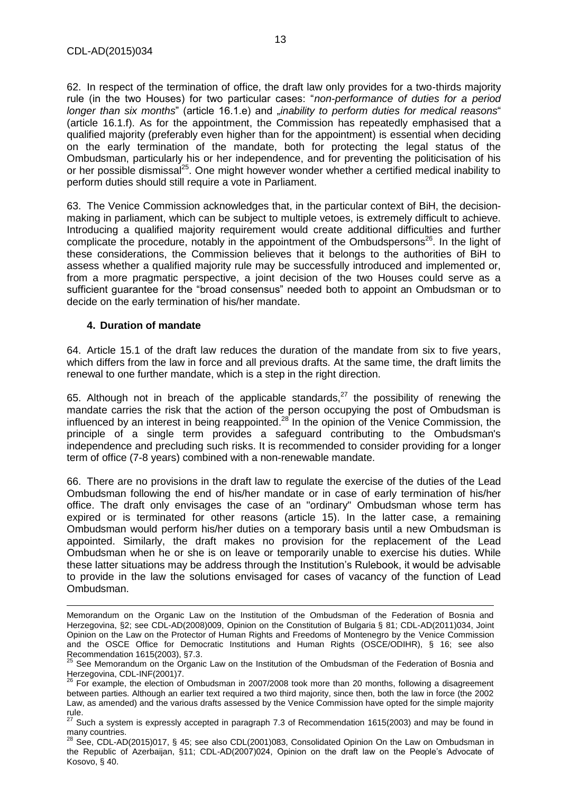62. In respect of the termination of office, the draft law only provides for a two-thirds majority rule (in the two Houses) for two particular cases: "*non-performance of duties for a period longer than six months*" (article 16.1.e) and "*inability to perform duties for medical reasons*" (article 16.1.f). As for the appointment, the Commission has repeatedly emphasised that a qualified majority (preferably even higher than for the appointment) is essential when deciding on the early termination of the mandate, both for protecting the legal status of the Ombudsman, particularly his or her independence, and for preventing the politicisation of his or her possible dismissal<sup>25</sup>. One might however wonder whether a certified medical inability to perform duties should still require a vote in Parliament.

63. The Venice Commission acknowledges that, in the particular context of BiH, the decisionmaking in parliament, which can be subject to multiple vetoes, is extremely difficult to achieve. Introducing a qualified majority requirement would create additional difficulties and further complicate the procedure, notably in the appointment of the Ombudspersons<sup>26</sup>. In the light of these considerations, the Commission believes that it belongs to the authorities of BiH to assess whether a qualified majority rule may be successfully introduced and implemented or, from a more pragmatic perspective, a joint decision of the two Houses could serve as a sufficient guarantee for the "broad consensus" needed both to appoint an Ombudsman or to decide on the early termination of his/her mandate.

#### **4. Duration of mandate**

64. Article 15.1 of the draft law reduces the duration of the mandate from six to five years, which differs from the law in force and all previous drafts. At the same time, the draft limits the renewal to one further mandate, which is a step in the right direction.

65. Although not in breach of the applicable standards,<sup>27</sup> the possibility of renewing the mandate carries the risk that the action of the person occupying the post of Ombudsman is influenced by an interest in being reappointed.<sup>28</sup> In the opinion of the Venice Commission, the principle of a single term provides a safeguard contributing to the Ombudsman's independence and precluding such risks. It is recommended to consider providing for a longer term of office (7-8 years) combined with a non-renewable mandate.

66. There are no provisions in the draft law to regulate the exercise of the duties of the Lead Ombudsman following the end of his/her mandate or in case of early termination of his/her office. The draft only envisages the case of an "ordinary" Ombudsman whose term has expired or is terminated for other reasons (article 15). In the latter case, a remaining Ombudsman would perform his/her duties on a temporary basis until a new Ombudsman is appointed. Similarly, the draft makes no provision for the replacement of the Lead Ombudsman when he or she is on leave or temporarily unable to exercise his duties. While these latter situations may be address through the Institution's Rulebook, it would be advisable to provide in the law the solutions envisaged for cases of vacancy of the function of Lead Ombudsman.

Memorandum on the Organic Law on the Institution of the Ombudsman of the Federation of Bosnia and Herzegovina, §2; see CDL-AD(2008)009, [Opinion on the Constitution of Bulgaria](http://www.venice.coe.int/webforms/documents/?pdf=CDL-AD(2008)009-e) § 81; CDL-AD(2011)034, Joint Opinion on the Law on the Protector of Human Rights and Freedoms of Montenegro by the Venice Commission and the OSCE Office for Democratic Institutions and Human Rights (OSCE/ODIHR), § 16; see also Recommendation 1615(2003), §7.3.

 $25$  See Memorandum on the Organic Law on the Institution of the Ombudsman of the Federation of Bosnia and Herzegovina, CDL-INF(2001)7.

 $26$  For example, the election of Ombudsman in 2007/2008 took more than 20 months, following a disagreement between parties. Although an earlier text required a two third majority, since then, both the law in force (the 2002 Law, as amended) and the various drafts assessed by the Venice Commission have opted for the simple majority rule.

<sup>27</sup> Such a system is expressly accepted in paragraph 7.3 of Recommendation 1615(2003) and may be found in many countries.

 $^{28}$  See, CDL-AD(2015)017, § 45; see also CDL(2001)083, Consolidated Opinion On the Law on Ombudsman in the Republic of Azerbaijan, §11; CDL-AD(2007)024, Opinion on the draft law on the People's Advocate of Kosovo, § 40.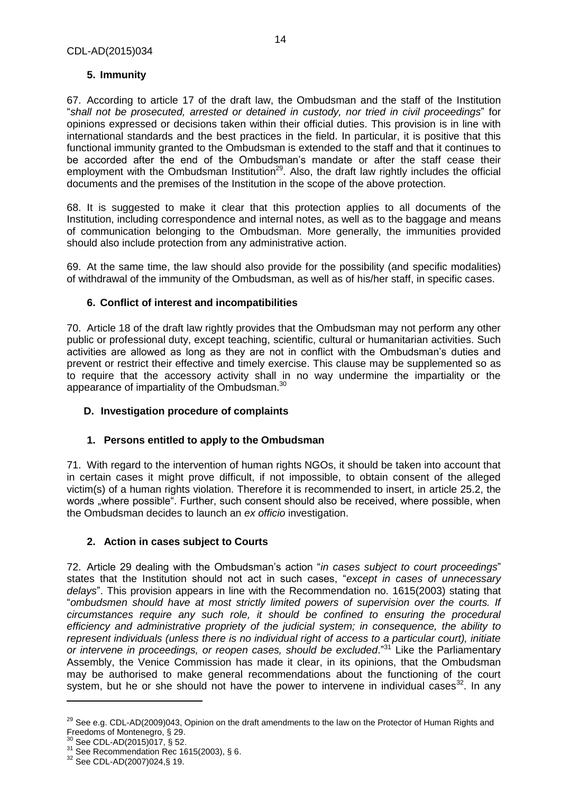# **5. Immunity**

67. According to article 17 of the draft law, the Ombudsman and the staff of the Institution "*shall not be prosecuted, arrested or detained in custody, nor tried in civil proceedings*" for opinions expressed or decisions taken within their official duties. This provision is in line with international standards and the best practices in the field. In particular, it is positive that this functional immunity granted to the Ombudsman is extended to the staff and that it continues to be accorded after the end of the Ombudsman's mandate or after the staff cease their employment with the Ombudsman Institution<sup>29</sup>. Also, the draft law rightly includes the official documents and the premises of the Institution in the scope of the above protection.

68. It is suggested to make it clear that this protection applies to all documents of the Institution, including correspondence and internal notes, as well as to the baggage and means of communication belonging to the Ombudsman. More generally, the immunities provided should also include protection from any administrative action.

69. At the same time, the law should also provide for the possibility (and specific modalities) of withdrawal of the immunity of the Ombudsman, as well as of his/her staff, in specific cases.

# **6. Conflict of interest and incompatibilities**

70. Article 18 of the draft law rightly provides that the Ombudsman may not perform any other public or professional duty, except teaching, scientific, cultural or humanitarian activities. Such activities are allowed as long as they are not in conflict with the Ombudsman's duties and prevent or restrict their effective and timely exercise. This clause may be supplemented so as to require that the accessory activity shall in no way undermine the impartiality or the appearance of impartiality of the Ombudsman. $^{30}$ 

#### **D. Investigation procedure of complaints**

# **1. Persons entitled to apply to the Ombudsman**

71. With regard to the intervention of human rights NGOs, it should be taken into account that in certain cases it might prove difficult, if not impossible, to obtain consent of the alleged victim(s) of a human rights violation. Therefore it is recommended to insert, in article 25.2, the words "where possible". Further, such consent should also be received, where possible, when the Ombudsman decides to launch an *ex officio* investigation.

# **2. Action in cases subject to Courts**

72. Article 29 dealing with the Ombudsman's action "*in cases subject to court proceedings*" states that the Institution should not act in such cases, "*except in cases of unnecessary delays*". This provision appears in line with the Recommendation no. 1615(2003) stating that "*ombudsmen should have at most strictly limited powers of supervision over the courts. If circumstances require any such role, it should be confined to ensuring the procedural efficiency and administrative propriety of the judicial system; in consequence, the ability to represent individuals (unless there is no individual right of access to a particular court), initiate or intervene in proceedings, or reopen cases, should be excluded*."<sup>31</sup> Like the Parliamentary Assembly, the Venice Commission has made it clear, in its opinions, that the Ombudsman may be authorised to make general recommendations about the functioning of the court system, but he or she should not have the power to intervene in individual cases  $32$ . In any

 $^{29}$  See e.g. CDL-AD(2009)043, Opinion on the draft amendments to the law on the Protector of Human Rights and Freedoms of Montenegro, § 29.

See CDL-AD(2015)017, § 52.

 $31$  See Recommendation Rec 1615(2003), § 6.

<sup>32</sup> See CDL-AD(2007)024,§ 19.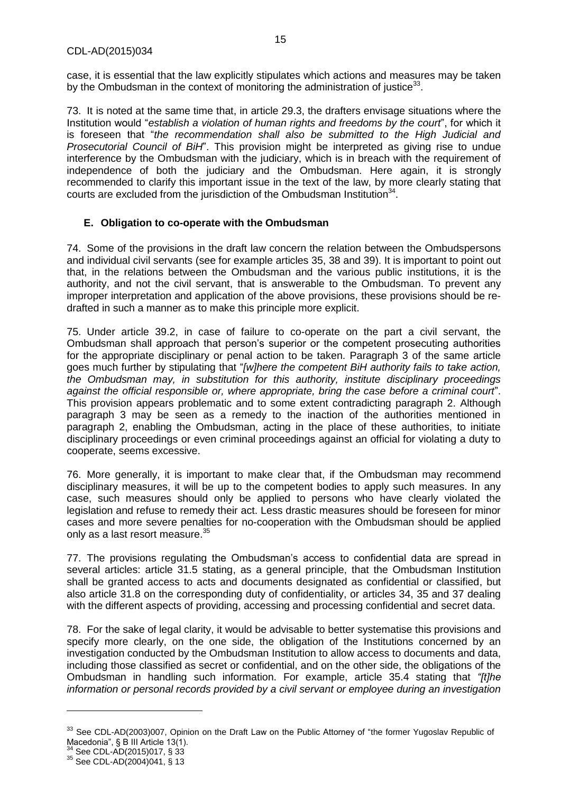case, it is essential that the law explicitly stipulates which actions and measures may be taken by the Ombudsman in the context of monitoring the administration of justice<sup>33</sup>.

73. It is noted at the same time that, in article 29.3, the drafters envisage situations where the Institution would "*establish a violation of human rights and freedoms by the court*", for which it is foreseen that "*the recommendation shall also be submitted to the High Judicial and Prosecutorial Council of BiH*". This provision might be interpreted as giving rise to undue interference by the Ombudsman with the judiciary, which is in breach with the requirement of independence of both the judiciary and the Ombudsman. Here again, it is strongly recommended to clarify this important issue in the text of the law, by more clearly stating that courts are excluded from the jurisdiction of the Ombudsman Institution $34$ .

#### **E. Obligation to co-operate with the Ombudsman**

74. Some of the provisions in the draft law concern the relation between the Ombudspersons and individual civil servants (see for example articles 35, 38 and 39). It is important to point out that, in the relations between the Ombudsman and the various public institutions, it is the authority, and not the civil servant, that is answerable to the Ombudsman. To prevent any improper interpretation and application of the above provisions, these provisions should be redrafted in such a manner as to make this principle more explicit.

75. Under article 39.2, in case of failure to co-operate on the part a civil servant, the Ombudsman shall approach that person's superior or the competent prosecuting authorities for the appropriate disciplinary or penal action to be taken. Paragraph 3 of the same article goes much further by stipulating that "*[w]here the competent BiH authority fails to take action, the Ombudsman may, in substitution for this authority, institute disciplinary proceedings against the official responsible or, where appropriate, bring the case before a criminal court*". This provision appears problematic and to some extent contradicting paragraph 2. Although paragraph 3 may be seen as a remedy to the inaction of the authorities mentioned in paragraph 2, enabling the Ombudsman, acting in the place of these authorities, to initiate disciplinary proceedings or even criminal proceedings against an official for violating a duty to cooperate, seems excessive.

76. More generally, it is important to make clear that, if the Ombudsman may recommend disciplinary measures, it will be up to the competent bodies to apply such measures. In any case, such measures should only be applied to persons who have clearly violated the legislation and refuse to remedy their act. Less drastic measures should be foreseen for minor cases and more severe penalties for no-cooperation with the Ombudsman should be applied only as a last resort measure.<sup>35</sup>

77. The provisions regulating the Ombudsman's access to confidential data are spread in several articles: article 31.5 stating, as a general principle, that the Ombudsman Institution shall be granted access to acts and documents designated as confidential or classified, but also article 31.8 on the corresponding duty of confidentiality, or articles 34, 35 and 37 dealing with the different aspects of providing, accessing and processing confidential and secret data.

78. For the sake of legal clarity, it would be advisable to better systematise this provisions and specify more clearly, on the one side, the obligation of the Institutions concerned by an investigation conducted by the Ombudsman Institution to allow access to documents and data, including those classified as secret or confidential, and on the other side, the obligations of the Ombudsman in handling such information. For example, article 35.4 stating that *"[t]he information or personal records provided by a civil servant or employee during an investigation* 

<sup>&</sup>lt;sup>33</sup> See CDL-AD(2003)007, Opinion on the Draft Law on the Public Attorney of "the former Yugoslav Republic of Macedonia", § B III Article 13(1).

 $^{4}$  See CDL-AD(2015)017, § 33

<sup>35</sup> See CDL-AD(2004)041, § 13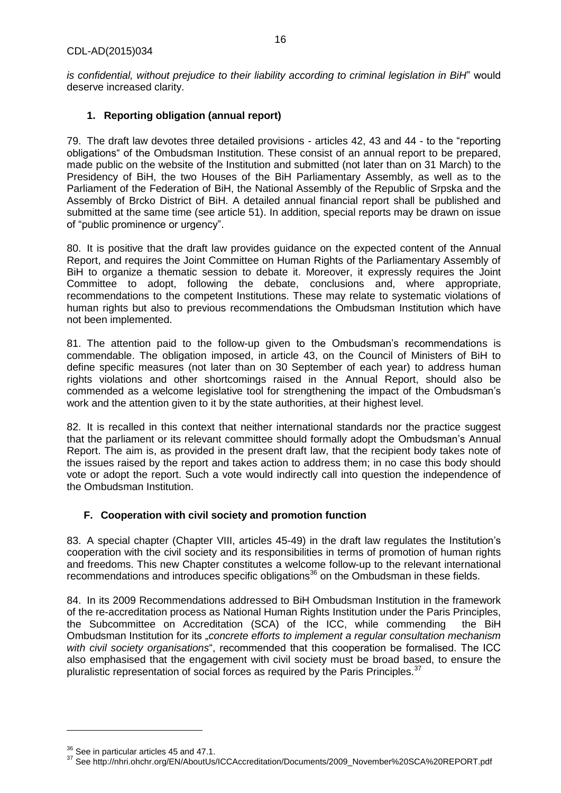*is confidential, without prejudice to their liability according to criminal legislation in BiH*" would deserve increased clarity.

# **1. Reporting obligation (annual report)**

79. The draft law devotes three detailed provisions - articles 42, 43 and 44 - to the "reporting obligations" of the Ombudsman Institution. These consist of an annual report to be prepared, made public on the website of the Institution and submitted (not later than on 31 March) to the Presidency of BiH, the two Houses of the BiH Parliamentary Assembly, as well as to the Parliament of the Federation of BiH, the National Assembly of the Republic of Srpska and the Assembly of Brcko District of BiH. A detailed annual financial report shall be published and submitted at the same time (see article 51). In addition, special reports may be drawn on issue of "public prominence or urgency".

80. It is positive that the draft law provides guidance on the expected content of the Annual Report, and requires the Joint Committee on Human Rights of the Parliamentary Assembly of BiH to organize a thematic session to debate it. Moreover, it expressly requires the Joint Committee to adopt, following the debate, conclusions and, where appropriate, recommendations to the competent Institutions. These may relate to systematic violations of human rights but also to previous recommendations the Ombudsman Institution which have not been implemented.

81. The attention paid to the follow-up given to the Ombudsman's recommendations is commendable. The obligation imposed, in article 43, on the Council of Ministers of BiH to define specific measures (not later than on 30 September of each year) to address human rights violations and other shortcomings raised in the Annual Report, should also be commended as a welcome legislative tool for strengthening the impact of the Ombudsman's work and the attention given to it by the state authorities, at their highest level.

82. It is recalled in this context that neither international standards nor the practice suggest that the parliament or its relevant committee should formally adopt the Ombudsman's Annual Report. The aim is, as provided in the present draft law, that the recipient body takes note of the issues raised by the report and takes action to address them; in no case this body should vote or adopt the report. Such a vote would indirectly call into question the independence of the Ombudsman Institution.

# **F. Cooperation with civil society and promotion function**

83. A special chapter (Chapter VIII, articles 45-49) in the draft law regulates the Institution's cooperation with the civil society and its responsibilities in terms of promotion of human rights and freedoms. This new Chapter constitutes a welcome follow-up to the relevant international recommendations and introduces specific obligations<sup>36</sup> on the Ombudsman in these fields.

84. In its 2009 Recommendations addressed to BiH Ombudsman Institution in the framework of the re-accreditation process as National Human Rights Institution under the Paris Principles, the Subcommittee on Accreditation (SCA) of the ICC, while commending the BiH Ombudsman Institution for its "*concrete efforts to implement a regular consultation mechanism with civil society organisations*", recommended that this cooperation be formalised. The ICC also emphasised that the engagement with civil society must be broad based, to ensure the pluralistic representation of social forces as required by the Paris Principles.<sup>37</sup>

<sup>&</sup>lt;sup>36</sup> See in particular articles 45 and 47.1.

<sup>37</sup> Se[e http://nhri.ohchr.org/EN/AboutUs/ICCAccreditation/Documents/2009\\_November%20SCA%20REPORT.pdf](http://nhri.ohchr.org/EN/AboutUs/ICCAccreditation/Documents/2009_November%20SCA%20REPORT.pdf)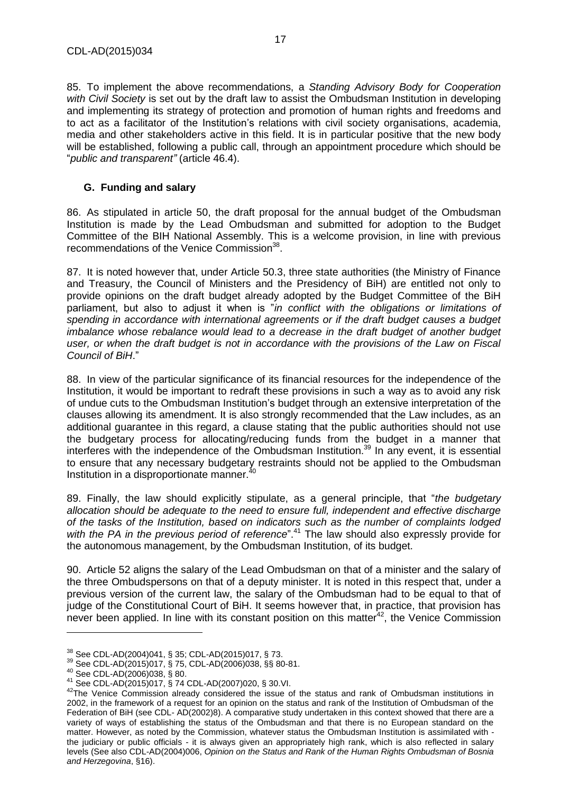85. To implement the above recommendations, a *Standing Advisory Body for Cooperation with Civil Society* is set out by the draft law to assist the Ombudsman Institution in developing and implementing its strategy of protection and promotion of human rights and freedoms and to act as a facilitator of the Institution's relations with civil society organisations, academia, media and other stakeholders active in this field. It is in particular positive that the new body will be established, following a public call, through an appointment procedure which should be "*public and transparent"* (article 46.4).

### **G. Funding and salary**

86. As stipulated in article 50, the draft proposal for the annual budget of the Ombudsman Institution is made by the Lead Ombudsman and submitted for adoption to the Budget Committee of the BIH National Assembly. This is a welcome provision, in line with previous recommendations of the Venice Commission<sup>38</sup>.

87. It is noted however that, under Article 50.3, three state authorities (the Ministry of Finance and Treasury, the Council of Ministers and the Presidency of BiH) are entitled not only to provide opinions on the draft budget already adopted by the Budget Committee of the BiH parliament, but also to adjust it when is "*in conflict with the obligations or limitations of spending in accordance with international agreements or if the draft budget causes a budget imbalance whose rebalance would lead to a decrease in the draft budget of another budget user, or when the draft budget is not in accordance with the provisions of the Law on Fiscal Council of BiH*."

88. In view of the particular significance of its financial resources for the independence of the Institution, it would be important to redraft these provisions in such a way as to avoid any risk of undue cuts to the Ombudsman Institution's budget through an extensive interpretation of the clauses allowing its amendment. It is also strongly recommended that the Law includes, as an additional guarantee in this regard, a clause stating that the public authorities should not use the budgetary process for allocating/reducing funds from the budget in a manner that interferes with the independence of the Ombudsman Institution. <sup>39</sup> In any event, it is essential to ensure that any necessary budgetary restraints should not be applied to the Ombudsman Institution in a disproportionate manner.<sup>40</sup>

89. Finally, the law should explicitly stipulate, as a general principle, that "*the budgetary allocation should be adequate to the need to ensure full, independent and effective discharge of the tasks of the Institution, based on indicators such as the number of complaints lodged with the PA in the previous period of reference*".<sup>41</sup> The law should also expressly provide for the autonomous management, by the Ombudsman Institution, of its budget.

90. Article 52 aligns the salary of the Lead Ombudsman on that of a minister and the salary of the three Ombudspersons on that of a deputy minister. It is noted in this respect that, under a previous version of the current law, the salary of the Ombudsman had to be equal to that of judge of the Constitutional Court of BiH. It seems however that, in practice, that provision has never been applied. In line with its constant position on this matter<sup>42</sup>, the Venice Commission

<sup>38</sup> See CDL-AD(2004)041, § 35; CDL-AD(2015)017, § 73.

<sup>39</sup> See CDL-AD(2015)017, § 75, CDL-AD(2006)038, §§ 80-81.

<sup>40</sup> See CDL-AD(2006)038, § 80.

<sup>41</sup> See CDL-AD(2015)017, § 74 CDL-AD(2007)020, § 30.VI.

<sup>&</sup>lt;sup>42</sup>The Venice Commission already considered the issue of the status and rank of Ombudsman institutions in 2002, in the framework of a request for an opinion on the status and rank of the Institution of Ombudsman of the Federation of BiH (see CDL- AD(2002)8). A comparative study undertaken in this context showed that there are a variety of ways of establishing the status of the Ombudsman and that there is no European standard on the matter. However, as noted by the Commission, whatever status the Ombudsman Institution is assimilated with the judiciary or public officials - it is always given an appropriately high rank, which is also reflected in salary levels (See also CDL-AD(2004)006, *Opinion on the Status and Rank of the Human Rights Ombudsman of Bosnia and Herzegovina*, §16).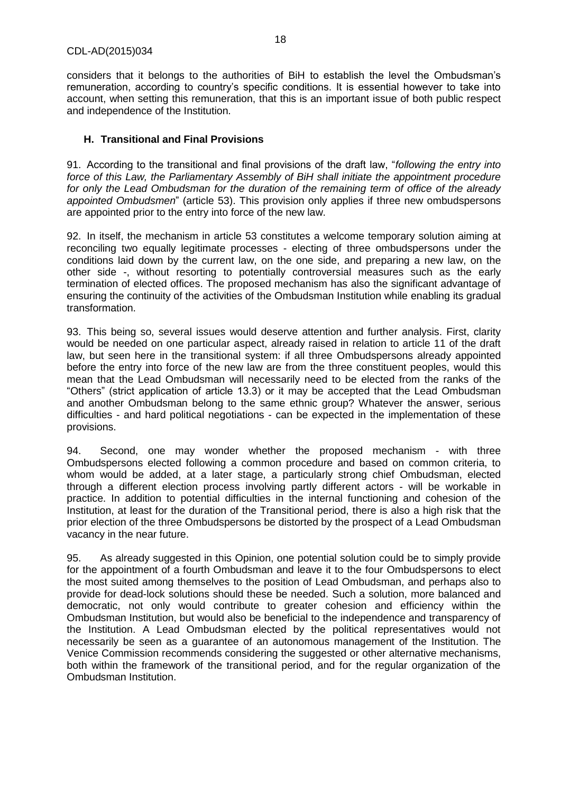considers that it belongs to the authorities of BiH to establish the level the Ombudsman's remuneration, according to country's specific conditions. It is essential however to take into account, when setting this remuneration, that this is an important issue of both public respect and independence of the Institution.

### **H. Transitional and Final Provisions**

91. According to the transitional and final provisions of the draft law, "*following the entry into force of this Law, the Parliamentary Assembly of BiH shall initiate the appointment procedure for only the Lead Ombudsman for the duration of the remaining term of office of the already appointed Ombudsmen*" (article 53). This provision only applies if three new ombudspersons are appointed prior to the entry into force of the new law.

92. In itself, the mechanism in article 53 constitutes a welcome temporary solution aiming at reconciling two equally legitimate processes - electing of three ombudspersons under the conditions laid down by the current law, on the one side, and preparing a new law, on the other side -, without resorting to potentially controversial measures such as the early termination of elected offices. The proposed mechanism has also the significant advantage of ensuring the continuity of the activities of the Ombudsman Institution while enabling its gradual transformation.

93. This being so, several issues would deserve attention and further analysis. First, clarity would be needed on one particular aspect, already raised in relation to article 11 of the draft law, but seen here in the transitional system: if all three Ombudspersons already appointed before the entry into force of the new law are from the three constituent peoples, would this mean that the Lead Ombudsman will necessarily need to be elected from the ranks of the "Others" (strict application of article 13.3) or it may be accepted that the Lead Ombudsman and another Ombudsman belong to the same ethnic group? Whatever the answer, serious difficulties - and hard political negotiations - can be expected in the implementation of these provisions.

94. Second, one may wonder whether the proposed mechanism - with three Ombudspersons elected following a common procedure and based on common criteria, to whom would be added, at a later stage, a particularly strong chief Ombudsman, elected through a different election process involving partly different actors - will be workable in practice. In addition to potential difficulties in the internal functioning and cohesion of the Institution, at least for the duration of the Transitional period, there is also a high risk that the prior election of the three Ombudspersons be distorted by the prospect of a Lead Ombudsman vacancy in the near future.

95. As already suggested in this Opinion, one potential solution could be to simply provide for the appointment of a fourth Ombudsman and leave it to the four Ombudspersons to elect the most suited among themselves to the position of Lead Ombudsman, and perhaps also to provide for dead-lock solutions should these be needed. Such a solution, more balanced and democratic, not only would contribute to greater cohesion and efficiency within the Ombudsman Institution, but would also be beneficial to the independence and transparency of the Institution. A Lead Ombudsman elected by the political representatives would not necessarily be seen as a guarantee of an autonomous management of the Institution. The Venice Commission recommends considering the suggested or other alternative mechanisms, both within the framework of the transitional period, and for the regular organization of the Ombudsman Institution.